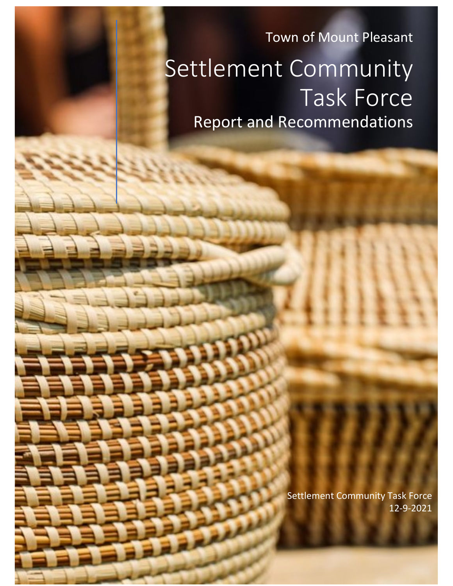Town of Mount Pleasant Settlement Community Task Force Report and Recommendations

> Settlement Community Task Force 12-9-2021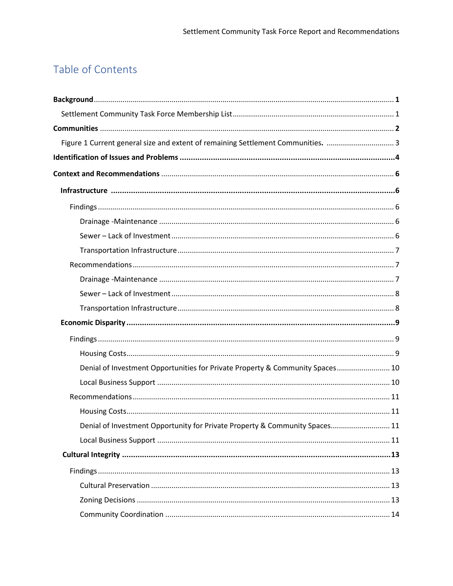## Table of Contents

| Figure 1 Current general size and extent of remaining Settlement Communities. 3 |  |
|---------------------------------------------------------------------------------|--|
|                                                                                 |  |
|                                                                                 |  |
|                                                                                 |  |
|                                                                                 |  |
|                                                                                 |  |
|                                                                                 |  |
|                                                                                 |  |
|                                                                                 |  |
|                                                                                 |  |
|                                                                                 |  |
|                                                                                 |  |
|                                                                                 |  |
|                                                                                 |  |
|                                                                                 |  |
| Denial of Investment Opportunities for Private Property & Community Spaces 10   |  |
|                                                                                 |  |
|                                                                                 |  |
|                                                                                 |  |
| Denial of Investment Opportunity for Private Property & Community Spaces 11     |  |
|                                                                                 |  |
|                                                                                 |  |
|                                                                                 |  |
|                                                                                 |  |
|                                                                                 |  |
|                                                                                 |  |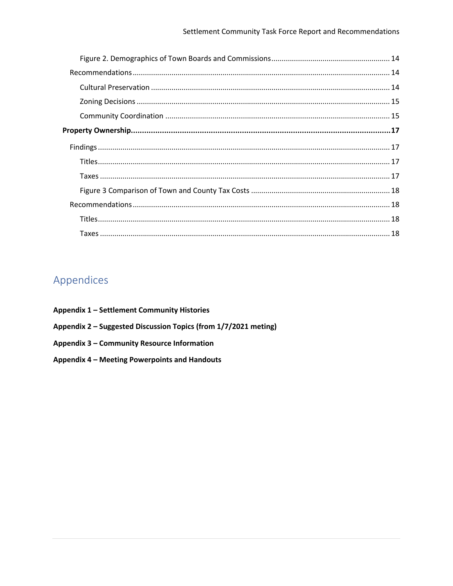# Appendices

- Appendix 1 Settlement Community Histories
- Appendix 2 Suggested Discussion Topics (from 1/7/2021 meting)
- Appendix 3 Community Resource Information
- Appendix 4 Meeting Powerpoints and Handouts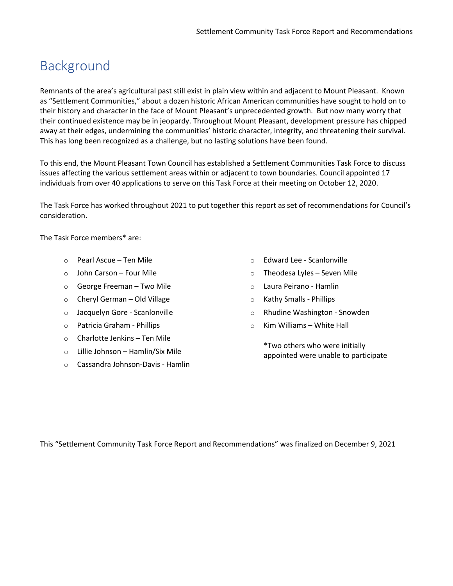# Background

Remnants of the area's agricultural past still exist in plain view within and adjacent to Mount Pleasant. Known as "Settlement Communities," about a dozen historic African American communities have sought to hold on to their history and character in the face of Mount Pleasant's unprecedented growth. But now many worry that their continued existence may be in jeopardy. Throughout Mount Pleasant, development pressure has chipped away at their edges, undermining the communities' historic character, integrity, and threatening their survival. This has long been recognized as a challenge, but no lasting solutions have been found.

To this end, the Mount Pleasant Town Council has established a Settlement Communities Task Force to discuss issues affecting the various settlement areas within or adjacent to town boundaries. Council appointed 17 individuals from over 40 applications to serve on this Task Force at their meeting on October 12, 2020.

The Task Force has worked throughout 2021 to put together this report as set of recommendations for Council's consideration.

The Task Force members\* are:

- o Pearl Ascue Ten Mile
- o John Carson Four Mile
- o George Freeman Two Mile
- o Cheryl German Old Village
- o Jacquelyn Gore Scanlonville
- o Patricia Graham Phillips
- o Charlotte Jenkins Ten Mile
- o Lillie Johnson Hamlin/Six Mile
- o Cassandra Johnson-Davis Hamlin
- o Edward Lee Scanlonville
- o Theodesa Lyles Seven Mile
- o Laura Peirano Hamlin
- o Kathy Smalls Phillips
- o Rhudine Washington Snowden
- $\circ$  Kim Williams White Hall

\*Two others who were initially appointed were unable to participate

This "Settlement Community Task Force Report and Recommendations" was finalized on December 9, 2021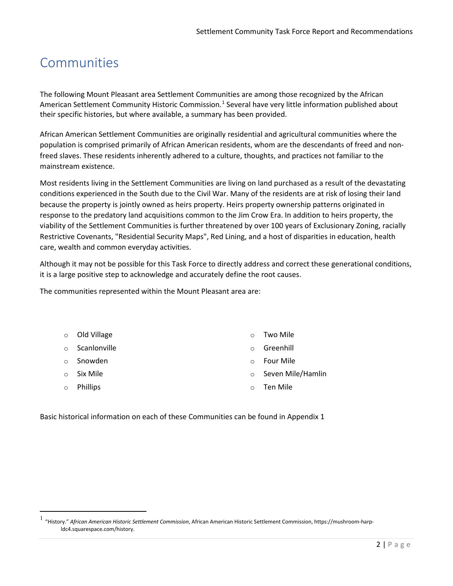# Communities

The following Mount Pleasant area Settlement Communities are among those recognized by the African American Settlement Community Historic Commission.<sup>[1](#page-5-0)</sup> Several have very little information published about their specific histories, but where available, a summary has been provided.

African American Settlement Communities are originally residential and agricultural communities where the population is comprised primarily of African American residents, whom are the descendants of freed and nonfreed slaves. These residents inherently adhered to a culture, thoughts, and practices not familiar to the mainstream existence.

Most residents living in the Settlement Communities are living on land purchased as a result of the devastating conditions experienced in the South due to the Civil War. Many of the residents are at risk of losing their land because the property is jointly owned as heirs property. Heirs property ownership patterns originated in response to the predatory land acquisitions common to the Jim Crow Era. In addition to heirs property, the viability of the Settlement Communities is further threatened by over 100 years of Exclusionary Zoning, racially Restrictive Covenants, "Residential Security Maps", Red Lining, and a host of disparities in education, health care, wealth and common everyday activities.

Although it may not be possible for this Task Force to directly address and correct these generational conditions, it is a large positive step to acknowledge and accurately define the root causes.

The communities represented within the Mount Pleasant area are:

| $\circ$ Old Village  | $\Omega$ | Two Mile          |
|----------------------|----------|-------------------|
| $\circ$ Scanlonville | $\circ$  | Greenhill         |
| ○ Snowden            | $\Omega$ | <b>Four Mile</b>  |
| $\circ$ Six Mile     | $\circ$  | Seven Mile/Hamlin |
| ○ Phillips           | $\circ$  | Ten Mile          |

Basic historical information on each of these Communities can be found in Appendix 1

<span id="page-5-0"></span><sup>1</sup> "History." *African American Historic Settlement Commission*, African American Historic Settlement Commission, https://mushroom-harpldc4.squarespace.com/history.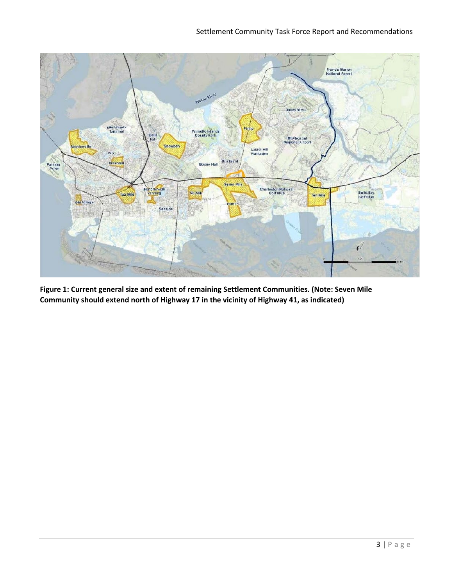

**Figure 1: Current general size and extent of remaining Settlement Communities. (Note: Seven Mile Community should extend north of Highway 17 in the vicinity of Highway 41, as indicated)**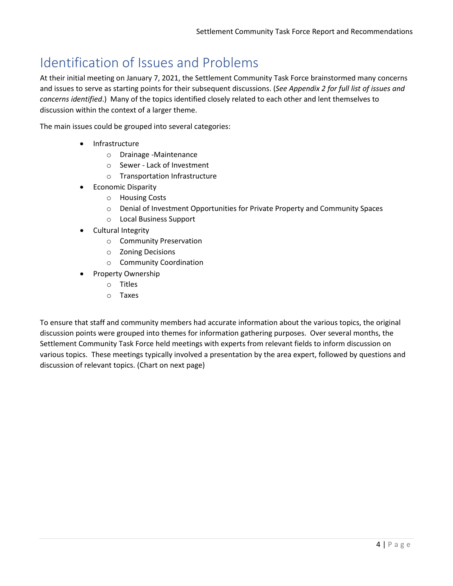# Identification of Issues and Problems

At their initial meeting on January 7, 2021, the Settlement Community Task Force brainstormed many concerns and issues to serve as starting points for their subsequent discussions. (*See Appendix 2 for full list of issues and concerns identified*.) Many of the topics identified closely related to each other and lent themselves to discussion within the context of a larger theme.

The main issues could be grouped into several categories:

- Infrastructure
	- o Drainage -Maintenance
	- o Sewer Lack of Investment
	- o Transportation Infrastructure
- Economic Disparity
	- o Housing Costs
	- o Denial of Investment Opportunities for Private Property and Community Spaces
	- o Local Business Support
- Cultural Integrity
	- o Community Preservation
	- o Zoning Decisions
	- o Community Coordination
- Property Ownership
	- o Titles
	- o Taxes

To ensure that staff and community members had accurate information about the various topics, the original discussion points were grouped into themes for information gathering purposes. Over several months, the Settlement Community Task Force held meetings with experts from relevant fields to inform discussion on various topics. These meetings typically involved a presentation by the area expert, followed by questions and discussion of relevant topics. (Chart on next page)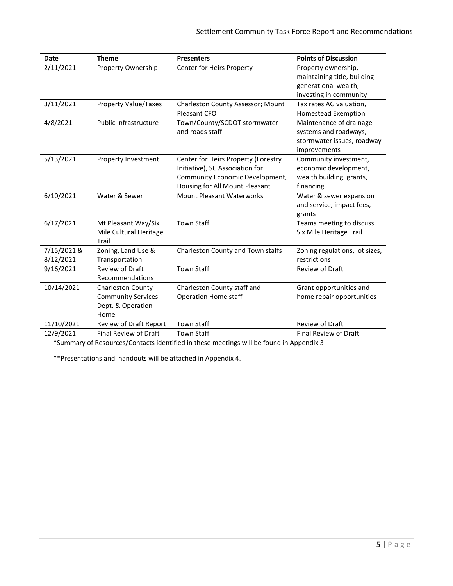| <b>Date</b> | <b>Theme</b>                 | <b>Presenters</b>                   | <b>Points of Discussion</b>                        |
|-------------|------------------------------|-------------------------------------|----------------------------------------------------|
| 2/11/2021   | Property Ownership           | Center for Heirs Property           | Property ownership,<br>maintaining title, building |
|             |                              |                                     | generational wealth,                               |
|             |                              |                                     | investing in community                             |
| 3/11/2021   | <b>Property Value/Taxes</b>  | Charleston County Assessor; Mount   | Tax rates AG valuation,                            |
|             |                              | Pleasant CFO                        | <b>Homestead Exemption</b>                         |
| 4/8/2021    | <b>Public Infrastructure</b> | Town/County/SCDOT stormwater        | Maintenance of drainage                            |
|             |                              | and roads staff                     | systems and roadways,                              |
|             |                              |                                     | stormwater issues, roadway                         |
|             |                              |                                     | improvements                                       |
| 5/13/2021   | Property Investment          | Center for Heirs Property (Forestry | Community investment,                              |
|             |                              | Initiative), SC Association for     | economic development,                              |
|             |                              | Community Economic Development,     | wealth building, grants,                           |
|             |                              | Housing for All Mount Pleasant      | financing                                          |
| 6/10/2021   | Water & Sewer                | <b>Mount Pleasant Waterworks</b>    | Water & sewer expansion                            |
|             |                              |                                     | and service, impact fees,                          |
|             |                              |                                     | grants                                             |
| 6/17/2021   | Mt Pleasant Way/Six          | <b>Town Staff</b>                   | Teams meeting to discuss                           |
|             | Mile Cultural Heritage       |                                     | Six Mile Heritage Trail                            |
|             | Trail                        |                                     |                                                    |
| 7/15/2021 & | Zoning, Land Use &           | Charleston County and Town staffs   | Zoning regulations, lot sizes,                     |
| 8/12/2021   | Transportation               |                                     | restrictions                                       |
| 9/16/2021   | <b>Review of Draft</b>       | <b>Town Staff</b>                   | <b>Review of Draft</b>                             |
|             | Recommendations              |                                     |                                                    |
| 10/14/2021  | Charleston County            | Charleston County staff and         | Grant opportunities and                            |
|             | <b>Community Services</b>    | <b>Operation Home staff</b>         | home repair opportunities                          |
|             | Dept. & Operation            |                                     |                                                    |
|             | Home                         |                                     |                                                    |
| 11/10/2021  | Review of Draft Report       | <b>Town Staff</b>                   | Review of Draft                                    |
| 12/9/2021   | Final Review of Draft        | <b>Town Staff</b>                   | Final Review of Draft                              |

\*Summary of Resources/Contacts identified in these meetings will be found in Appendix 3

\*\*Presentations and handouts will be attached in Appendix 4.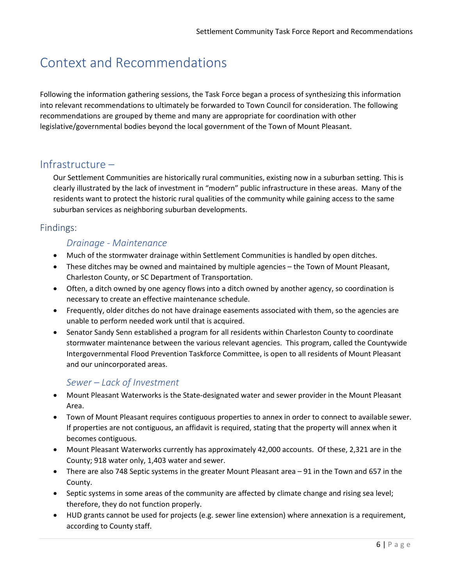# Context and Recommendations

Following the information gathering sessions, the Task Force began a process of synthesizing this information into relevant recommendations to ultimately be forwarded to Town Council for consideration. The following recommendations are grouped by theme and many are appropriate for coordination with other legislative/governmental bodies beyond the local government of the Town of Mount Pleasant.

## Infrastructure –

Our Settlement Communities are historically rural communities, existing now in a suburban setting. This is clearly illustrated by the lack of investment in "modern" public infrastructure in these areas. Many of the residents want to protect the historic rural qualities of the community while gaining access to the same suburban services as neighboring suburban developments.

### Findings:

#### *Drainage - Maintenance*

- Much of the stormwater drainage within Settlement Communities is handled by open ditches.
- These ditches may be owned and maintained by multiple agencies the Town of Mount Pleasant, Charleston County, or SC Department of Transportation.
- Often, a ditch owned by one agency flows into a ditch owned by another agency, so coordination is necessary to create an effective maintenance schedule.
- Frequently, older ditches do not have drainage easements associated with them, so the agencies are unable to perform needed work until that is acquired.
- Senator Sandy Senn established a program for all residents within Charleston County to coordinate stormwater maintenance between the various relevant agencies. This program, called the Countywide Intergovernmental Flood Prevention Taskforce Committee, is open to all residents of Mount Pleasant and our unincorporated areas.

### *Sewer – Lack of Investment*

- Mount Pleasant Waterworks is the State-designated water and sewer provider in the Mount Pleasant Area.
- Town of Mount Pleasant requires contiguous properties to annex in order to connect to available sewer. If properties are not contiguous, an affidavit is required, stating that the property will annex when it becomes contiguous.
- Mount Pleasant Waterworks currently has approximately 42,000 accounts. Of these, 2,321 are in the County; 918 water only, 1,403 water and sewer.
- There are also 748 Septic systems in the greater Mount Pleasant area 91 in the Town and 657 in the County.
- Septic systems in some areas of the community are affected by climate change and rising sea level; therefore, they do not function properly.
- HUD grants cannot be used for projects (e.g. sewer line extension) where annexation is a requirement, according to County staff.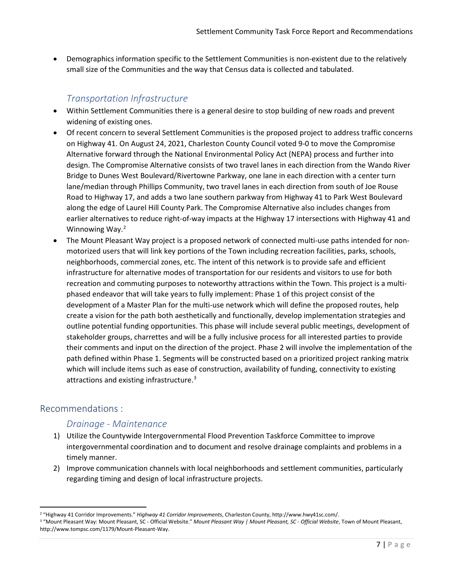• Demographics information specific to the Settlement Communities is non-existent due to the relatively small size of the Communities and the way that Census data is collected and tabulated.

## *Transportation Infrastructure*

- Within Settlement Communities there is a general desire to stop building of new roads and prevent widening of existing ones.
- Of recent concern to several Settlement Communities is the proposed project to address traffic concerns on Highway 41. On August 24, 2021, Charleston County Council voted 9-0 to move the Compromise Alternative forward through the National Environmental Policy Act (NEPA) process and further into design. The Compromise Alternative consists of two travel lanes in each direction from the Wando River Bridge to Dunes West Boulevard/Rivertowne Parkway, one lane in each direction with a center turn lane/median through Phillips Community, two travel lanes in each direction from south of Joe Rouse Road to Highway 17, and adds a two lane southern parkway from Highway 41 to Park West Boulevard along the edge of Laurel Hill County Park. The Compromise Alternative also includes changes from earlier alternatives to reduce right-of-way impacts at the Highway 17 intersections with Highway 41 and Winnowing Way.<sup>[2](#page-10-0)</sup>
- The Mount Pleasant Way project is a proposed network of connected multi-use paths intended for nonmotorized users that will link key portions of the Town including recreation facilities, parks, schools, neighborhoods, commercial zones, etc. The intent of this network is to provide safe and efficient infrastructure for alternative modes of transportation for our residents and visitors to use for both recreation and commuting purposes to noteworthy attractions within the Town. This project is a multiphased endeavor that will take years to fully implement: Phase 1 of this project consist of the development of a Master Plan for the multi-use network which will define the proposed routes, help create a vision for the path both aesthetically and functionally, develop implementation strategies and outline potential funding opportunities. This phase will include several public meetings, development of stakeholder groups, charrettes and will be a fully inclusive process for all interested parties to provide their comments and input on the direction of the project. Phase 2 will involve the implementation of the path defined within Phase 1. Segments will be constructed based on a prioritized project ranking matrix which will include items such as ease of construction, availability of funding, connectivity to existing attractions and existing infrastructure.<sup>[3](#page-10-1)</sup>

## Recommendations :

### *Drainage - Maintenance*

- 1) Utilize the Countywide Intergovernmental Flood Prevention Taskforce Committee to improve intergovernmental coordination and to document and resolve drainage complaints and problems in a timely manner.
- 2) Improve communication channels with local neighborhoods and settlement communities, particularly regarding timing and design of local infrastructure projects.

<span id="page-10-1"></span><span id="page-10-0"></span><sup>&</sup>lt;sup>2</sup> "Highway 41 Corridor Improvements." Highway 41 Corridor Improvements, Charleston County, http://www.hwy41sc.com/.<br><sup>3</sup> "Mount Pleasant Way: Mount Pleasant, SC - Official Website." Mount Pleasant Way | Mount Pleasant, SC http://www.tompsc.com/1179/Mount-Pleasant-Way.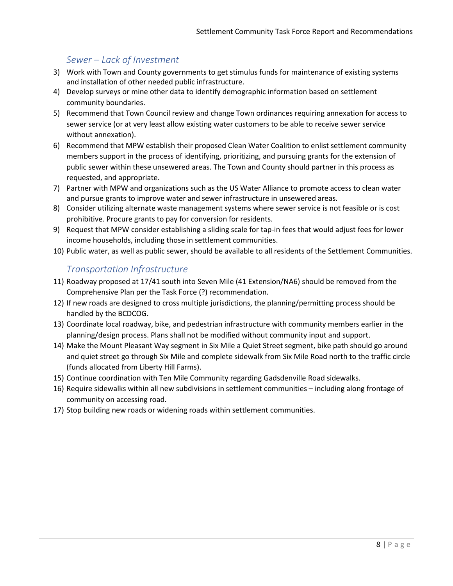## *Sewer – Lack of Investment*

- 3) Work with Town and County governments to get stimulus funds for maintenance of existing systems and installation of other needed public infrastructure.
- 4) Develop surveys or mine other data to identify demographic information based on settlement community boundaries.
- 5) Recommend that Town Council review and change Town ordinances requiring annexation for access to sewer service (or at very least allow existing water customers to be able to receive sewer service without annexation).
- 6) Recommend that MPW establish their proposed Clean Water Coalition to enlist settlement community members support in the process of identifying, prioritizing, and pursuing grants for the extension of public sewer within these unsewered areas. The Town and County should partner in this process as requested, and appropriate.
- 7) Partner with MPW and organizations such as the US Water Alliance to promote access to clean water and pursue grants to improve water and sewer infrastructure in unsewered areas.
- 8) Consider utilizing alternate waste management systems where sewer service is not feasible or is cost prohibitive. Procure grants to pay for conversion for residents.
- 9) Request that MPW consider establishing a sliding scale for tap-in fees that would adjust fees for lower income households, including those in settlement communities.
- 10) Public water, as well as public sewer, should be available to all residents of the Settlement Communities.

### *Transportation Infrastructure*

- 11) Roadway proposed at 17/41 south into Seven Mile (41 Extension/NA6) should be removed from the Comprehensive Plan per the Task Force (?) recommendation.
- 12) If new roads are designed to cross multiple jurisdictions, the planning/permitting process should be handled by the BCDCOG.
- 13) Coordinate local roadway, bike, and pedestrian infrastructure with community members earlier in the planning/design process. Plans shall not be modified without community input and support.
- 14) Make the Mount Pleasant Way segment in Six Mile a Quiet Street segment, bike path should go around and quiet street go through Six Mile and complete sidewalk from Six Mile Road north to the traffic circle (funds allocated from Liberty Hill Farms).
- 15) Continue coordination with Ten Mile Community regarding Gadsdenville Road sidewalks.
- 16) Require sidewalks within all new subdivisions in settlement communities including along frontage of community on accessing road.
- 17) Stop building new roads or widening roads within settlement communities.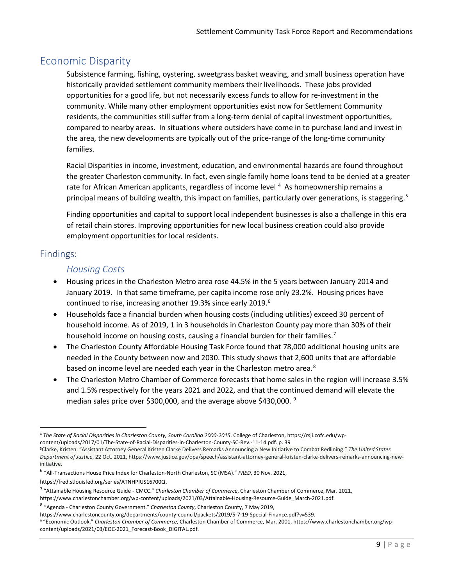## Economic Disparity

Subsistence farming, fishing, oystering, sweetgrass basket weaving, and small business operation have historically provided settlement community members their livelihoods. These jobs provided opportunities for a good life, but not necessarily excess funds to allow for re-investment in the community. While many other employment opportunities exist now for Settlement Community residents, the communities still suffer from a long-term denial of capital investment opportunities, compared to nearby areas. In situations where outsiders have come in to purchase land and invest in the area, the new developments are typically out of the price-range of the long-time community families.

Racial Disparities in income, investment, education, and environmental hazards are found throughout the greater Charleston community. In fact, even single family home loans tend to be denied at a greater rate for African American applicants, regardless of income level<sup>[4](#page-12-0)</sup> As homeownership remains a principal means of building wealth, this impact on families, particularly over generations, is staggering.<sup>[5](#page-12-1)</sup>

Finding opportunities and capital to support local independent businesses is also a challenge in this era of retail chain stores. Improving opportunities for new local business creation could also provide employment opportunities for local residents.

## Findings:

#### *Housing Costs*

- Housing prices in the Charleston Metro area rose 44.5% in the 5 years between January 2014 and January 2019. In that same timeframe, per capita income rose only 23.2%. Housing prices have continued to rise, increasing another 19.3% since early 2019.<sup>[6](#page-12-2)</sup>
- Households face a financial burden when housing costs (including utilities) exceed 30 percent of household income. As of 2019, 1 in 3 households in Charleston County pay more than 30% of their household income on housing costs, causing a financial burden for their families.<sup>[7](#page-12-3)</sup>
- The Charleston County Affordable Housing Task Force found that 78,000 additional housing units are needed in the County between now and 2030. This study shows that 2,600 units that are affordable based on income level are needed each year in the Charleston metro area.<sup>[8](#page-12-4)</sup>
- The Charleston Metro Chamber of Commerce forecasts that home sales in the region will increase 3.5% and 1.5% respectively for the years 2021 and 2022, and that the continued demand will elevate the median sales price over \$300,000, and the average above \$430,000.<sup>[9](#page-12-5)</sup>

https://www.charlestoncounty.org/departments/county-council/packets/2019/5-7-19-Special-Finance.pdf?v=539.<br><sup>9</sup> "Economic Outlook." Charleston Chamber of Commerce, Charleston Chamber of Commerce, Mar. 2001, https://www.char content/uploads/2021/03/EOC-2021\_Forecast-Book\_DIGITAL.pdf.

<span id="page-12-0"></span><sup>4</sup> *The State of Racial Disparities in Charleston County, South Carolina 2000-2015*. College of Charleston, https://rsji.cofc.edu/wpcontent/uploads/2017/01/The-State-of-Racial-Disparities-in-Charleston-County-SC-Rev.-11-14.pdf. p. 39

<span id="page-12-1"></span><sup>5</sup>Clarke, Kristen. "Assistant Attorney General Kristen Clarke Delivers Remarks Announcing a New Initiative to Combat Redlining." *The United States Department of Justice*, 22 Oct. 2021, https://www.justice.gov/opa/speech/assistant-attorney-general-kristen-clarke-delivers-remarks-announcing-newinitiative.

<span id="page-12-2"></span><sup>6</sup> "All-Transactions House Price Index for Charleston-North Charleston, SC (MSA)." *FRED*, 30 Nov. 2021,

<span id="page-12-3"></span>https://fred.stlouisfed.org/series/ATNHPIUS16700Q.<br><sup>7</sup> "Attainable Housing Resource Guide - CMCC." *Charleston Chamber of Commerce*, Charleston Chamber of Commerce, Mar. 2021,

https://www.charlestonchamber.org/wp-content/uploads/2021/03/Attainable-Housing-Resource-Guide\_March-2021.pdf.

<span id="page-12-4"></span><sup>8</sup> "Agenda - Charleston County Government." *Charleston County*, Charleston County, 7 May 2019,

<span id="page-12-5"></span>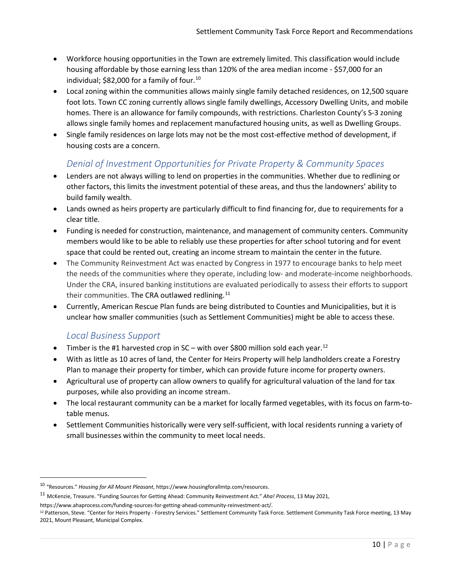- Workforce housing opportunities in the Town are extremely limited. This classification would include housing affordable by those earning less than 120% of the area median income - \$57,000 for an individual; \$82,000 for a family of four.<sup>[10](#page-13-0)</sup>
- Local zoning within the communities allows mainly single family detached residences, on 12,500 square foot lots. Town CC zoning currently allows single family dwellings, Accessory Dwelling Units, and mobile homes. There is an allowance for family compounds, with restrictions. Charleston County's S-3 zoning allows single family homes and replacement manufactured housing units, as well as Dwelling Groups.
- Single family residences on large lots may not be the most cost-effective method of development, if housing costs are a concern.

## *Denial of Investment Opportunities for Private Property & Community Spaces*

- Lenders are not always willing to lend on properties in the communities. Whether due to redlining or other factors, this limits the investment potential of these areas, and thus the landowners' ability to build family wealth.
- Lands owned as heirs property are particularly difficult to find financing for, due to requirements for a clear title.
- Funding is needed for construction, maintenance, and management of community centers. Community members would like to be able to reliably use these properties for after school tutoring and for event space that could be rented out, creating an income stream to maintain the center in the future.
- The Community Reinvestment Act was enacted by Congress in 1977 to encourage banks to help meet the needs of the communities where they operate, including low- and moderate-income neighborhoods. Under the CRA, insured banking institutions are evaluated periodically to assess their efforts to support their communities. The CRA outlawed redlining.<sup>[11](#page-13-1)</sup>
- Currently, American Rescue Plan funds are being distributed to Counties and Municipalities, but it is unclear how smaller communities (such as Settlement Communities) might be able to access these.

## *Local Business Support*

- Timber is the #1 harvested crop in SC with over \$800 million sold each year.<sup>[12](#page-13-2)</sup>
- With as little as 10 acres of land, the Center for Heirs Property will help landholders create a Forestry Plan to manage their property for timber, which can provide future income for property owners.
- Agricultural use of property can allow owners to qualify for agricultural valuation of the land for tax purposes, while also providing an income stream.
- The local restaurant community can be a market for locally farmed vegetables, with its focus on farm-totable menus.
- Settlement Communities historically were very self-sufficient, with local residents running a variety of small businesses within the community to meet local needs.

<span id="page-13-0"></span><sup>10</sup> "Resources." *Housing for All Mount Pleasant*, https://www.housingforallmtp.com/resources.

<span id="page-13-1"></span><sup>11</sup> McKenzie, Treasure. "Funding Sources for Getting Ahead: Community Reinvestment Act." *Aha! Process*, 13 May 2021,

<span id="page-13-2"></span>https://www.ahaprocess.com/funding-sources-for-getting-ahead-community-reinvestment-act/.<br><sup>12</sup> Patterson, Steve. "Center for Heirs Property - Forestry Services." Settlement Community Task Force. Settlement Community Task F 2021, Mount Pleasant, Municipal Complex.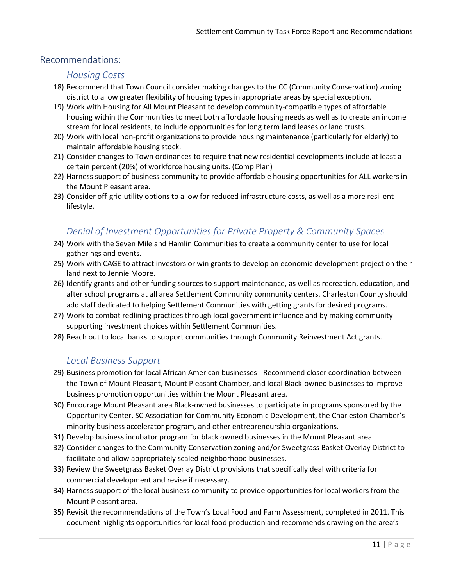#### Recommendations:

#### *Housing Costs*

- 18) Recommend that Town Council consider making changes to the CC (Community Conservation) zoning district to allow greater flexibility of housing types in appropriate areas by special exception.
- 19) Work with Housing for All Mount Pleasant to develop community-compatible types of affordable housing within the Communities to meet both affordable housing needs as well as to create an income stream for local residents, to include opportunities for long term land leases or land trusts.
- 20) Work with local non-profit organizations to provide housing maintenance (particularly for elderly) to maintain affordable housing stock.
- 21) Consider changes to Town ordinances to require that new residential developments include at least a certain percent (20%) of workforce housing units. (Comp Plan)
- 22) Harness support of business community to provide affordable housing opportunities for ALL workers in the Mount Pleasant area.
- 23) Consider off-grid utility options to allow for reduced infrastructure costs, as well as a more resilient lifestyle.

## *Denial of Investment Opportunities for Private Property & Community Spaces*

- 24) Work with the Seven Mile and Hamlin Communities to create a community center to use for local gatherings and events.
- 25) Work with CAGE to attract investors or win grants to develop an economic development project on their land next to Jennie Moore.
- 26) Identify grants and other funding sources to support maintenance, as well as recreation, education, and after school programs at all area Settlement Community community centers. Charleston County should add staff dedicated to helping Settlement Communities with getting grants for desired programs.
- 27) Work to combat redlining practices through local government influence and by making communitysupporting investment choices within Settlement Communities.
- 28) Reach out to local banks to support communities through Community Reinvestment Act grants.

### *Local Business Support*

- 29) Business promotion for local African American businesses Recommend closer coordination between the Town of Mount Pleasant, Mount Pleasant Chamber, and local Black-owned businesses to improve business promotion opportunities within the Mount Pleasant area.
- 30) Encourage Mount Pleasant area Black-owned businesses to participate in programs sponsored by the Opportunity Center, SC Association for Community Economic Development, the Charleston Chamber's minority business accelerator program, and other entrepreneurship organizations.
- 31) Develop business incubator program for black owned businesses in the Mount Pleasant area.
- 32) Consider changes to the Community Conservation zoning and/or Sweetgrass Basket Overlay District to facilitate and allow appropriately scaled neighborhood businesses.
- 33) Review the Sweetgrass Basket Overlay District provisions that specifically deal with criteria for commercial development and revise if necessary.
- 34) Harness support of the local business community to provide opportunities for local workers from the Mount Pleasant area.
- 35) Revisit the recommendations of the Town's Local Food and Farm Assessment, completed in 2011. This document highlights opportunities for local food production and recommends drawing on the area's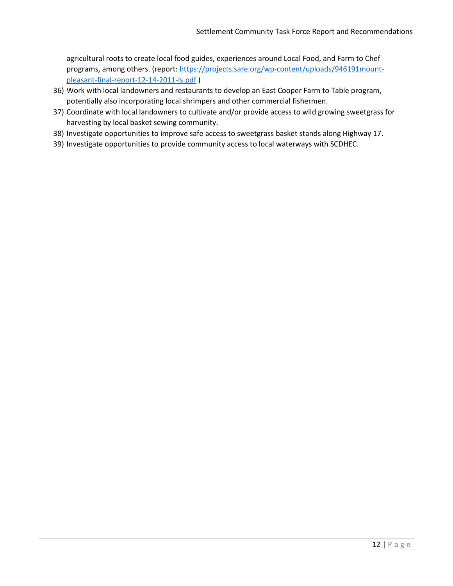agricultural roots to create local food guides, experiences around Local Food, and Farm to Chef programs, among others. (report[: https://projects.sare.org/wp-content/uploads/946191mount](https://projects.sare.org/wp-content/uploads/946191mount-pleasant-final-report-12-14-2011-ls.pdf)[pleasant-final-report-12-14-2011-ls.pdf](https://projects.sare.org/wp-content/uploads/946191mount-pleasant-final-report-12-14-2011-ls.pdf) )

- 36) Work with local landowners and restaurants to develop an East Cooper Farm to Table program, potentially also incorporating local shrimpers and other commercial fishermen.
- 37) Coordinate with local landowners to cultivate and/or provide access to wild growing sweetgrass for harvesting by local basket sewing community.
- 38) Investigate opportunities to improve safe access to sweetgrass basket stands along Highway 17.
- 39) Investigate opportunities to provide community access to local waterways with SCDHEC.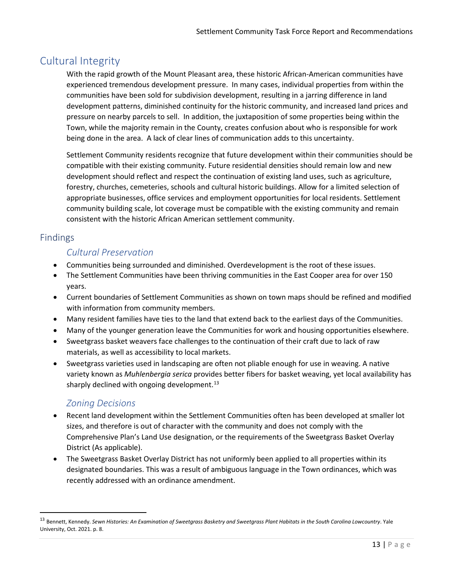## Cultural Integrity

With the rapid growth of the Mount Pleasant area, these historic African-American communities have experienced tremendous development pressure. In many cases, individual properties from within the communities have been sold for subdivision development, resulting in a jarring difference in land development patterns, diminished continuity for the historic community, and increased land prices and pressure on nearby parcels to sell. In addition, the juxtaposition of some properties being within the Town, while the majority remain in the County, creates confusion about who is responsible for work being done in the area. A lack of clear lines of communication adds to this uncertainty.

Settlement Community residents recognize that future development within their communities should be compatible with their existing community. Future residential densities should remain low and new development should reflect and respect the continuation of existing land uses, such as agriculture, forestry, churches, cemeteries, schools and cultural historic buildings. Allow for a limited selection of appropriate businesses, office services and employment opportunities for local residents. Settlement community building scale, lot coverage must be compatible with the existing community and remain consistent with the historic African American settlement community.

## Findings

## *Cultural Preservation*

- Communities being surrounded and diminished. Overdevelopment is the root of these issues.
- The Settlement Communities have been thriving communities in the East Cooper area for over 150 years.
- Current boundaries of Settlement Communities as shown on town maps should be refined and modified with information from community members.
- Many resident families have ties to the land that extend back to the earliest days of the Communities.
- Many of the younger generation leave the Communities for work and housing opportunities elsewhere.
- Sweetgrass basket weavers face challenges to the continuation of their craft due to lack of raw materials, as well as accessibility to local markets.
- Sweetgrass varieties used in landscaping are often not pliable enough for use in weaving. A native variety known as *Muhlenbergia serica* provides better fibers for basket weaving, yet local availability has sharply declined with ongoing development.<sup>[13](#page-16-0)</sup>

## *Zoning Decisions*

- Recent land development within the Settlement Communities often has been developed at smaller lot sizes, and therefore is out of character with the community and does not comply with the Comprehensive Plan's Land Use designation, or the requirements of the Sweetgrass Basket Overlay District (As applicable).
- The Sweetgrass Basket Overlay District has not uniformly been applied to all properties within its designated boundaries. This was a result of ambiguous language in the Town ordinances, which was recently addressed with an ordinance amendment.

<span id="page-16-0"></span><sup>13</sup> Bennett, Kennedy. *Sewn Histories: An Examination of Sweetgrass Basketry and Sweetgrass Plant Habitats in the South Carolina Lowcountry*. Yale University, Oct. 2021. p. 8.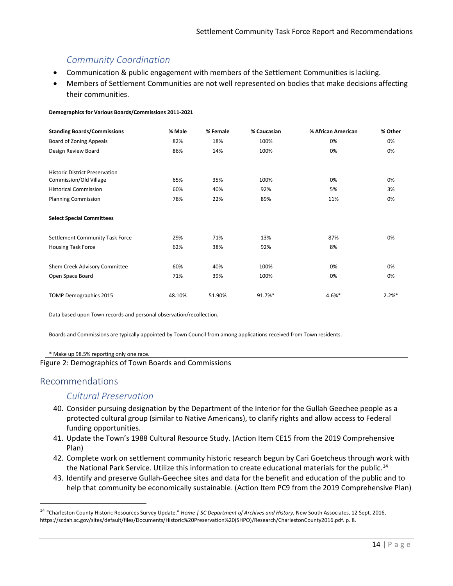## *Community Coordination*

- Communication & public engagement with members of the Settlement Communities is lacking.
- Members of Settlement Communities are not well represented on bodies that make decisions affecting their communities.

| Demographics for Various Boards/Commissions 2011-2021               |        |          |             |                    |          |  |  |
|---------------------------------------------------------------------|--------|----------|-------------|--------------------|----------|--|--|
| <b>Standing Boards/Commissions</b>                                  | % Male | % Female | % Caucasian | % African American | % Other  |  |  |
| <b>Board of Zoning Appeals</b>                                      | 82%    | 18%      | 100%        | 0%                 | 0%       |  |  |
| Design Review Board                                                 | 86%    | 14%      | 100%        | 0%                 | 0%       |  |  |
| <b>Historic District Preservation</b>                               |        |          |             |                    |          |  |  |
| Commission/Old Village                                              | 65%    | 35%      | 100%        | 0%                 | 0%       |  |  |
| <b>Historical Commission</b>                                        | 60%    | 40%      | 92%         | 5%                 | 3%       |  |  |
| <b>Planning Commission</b>                                          | 78%    | 22%      | 89%         | 11%                | 0%       |  |  |
| <b>Select Special Committees</b>                                    |        |          |             |                    |          |  |  |
| Settlement Community Task Force                                     | 29%    | 71%      | 13%         | 87%                | 0%       |  |  |
| <b>Housing Task Force</b>                                           | 62%    | 38%      | 92%         | 8%                 |          |  |  |
| Shem Creek Advisory Committee                                       | 60%    | 40%      | 100%        | 0%                 | 0%       |  |  |
| Open Space Board                                                    | 71%    | 39%      | 100%        | 0%                 | 0%       |  |  |
| TOMP Demographics 2015                                              | 48.10% | 51.90%   | 91.7%*      | $4.6%$ *           | $2.2%$ * |  |  |
| Data based upon Town records and personal observation/recollection. |        |          |             |                    |          |  |  |

Boards and Commissions are typically appointed by Town Council from among applications received from Town residents.

#### \* Make up 98.5% reporting only one race.



#### Recommendations

### *Cultural Preservation*

- 40. Consider pursuing designation by the Department of the Interior for the Gullah Geechee people as a protected cultural group (similar to Native Americans), to clarify rights and allow access to Federal funding opportunities.
- 41. Update the Town's 1988 Cultural Resource Study. (Action Item CE15 from the 2019 Comprehensive Plan)
- 42. Complete work on settlement community historic research begun by Cari Goetcheus through work with the National Park Service. Utilize this information to create educational materials for the public.<sup>[14](#page-17-0)</sup>
- 43. Identify and preserve Gullah-Geechee sites and data for the benefit and education of the public and to help that community be economically sustainable. (Action Item PC9 from the 2019 Comprehensive Plan)

<span id="page-17-0"></span><sup>14</sup> "Charleston County Historic Resources Survey Update." *Home | SC Department of Archives and History*, New South Associates, 12 Sept. 2016, https://scdah.sc.gov/sites/default/files/Documents/Historic%20Preservation%20(SHPO)/Research/CharlestonCounty2016.pdf. p. 8.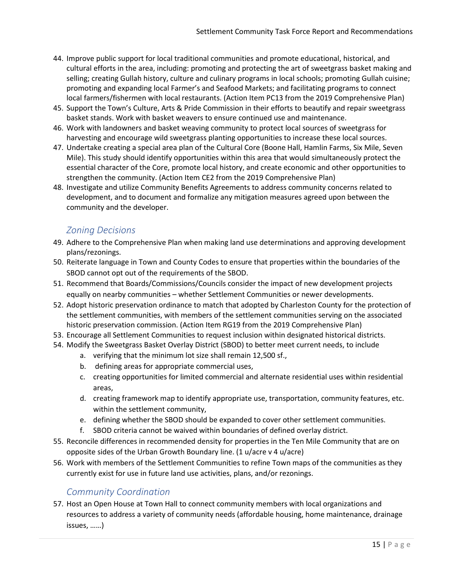- 44. Improve public support for local traditional communities and promote educational, historical, and cultural efforts in the area, including: promoting and protecting the art of sweetgrass basket making and selling; creating Gullah history, culture and culinary programs in local schools; promoting Gullah cuisine; promoting and expanding local Farmer's and Seafood Markets; and facilitating programs to connect local farmers/fishermen with local restaurants. (Action Item PC13 from the 2019 Comprehensive Plan)
- 45. Support the Town's Culture, Arts & Pride Commission in their efforts to beautify and repair sweetgrass basket stands. Work with basket weavers to ensure continued use and maintenance.
- 46. Work with landowners and basket weaving community to protect local sources of sweetgrass for harvesting and encourage wild sweetgrass planting opportunities to increase these local sources.
- 47. Undertake creating a special area plan of the Cultural Core (Boone Hall, Hamlin Farms, Six Mile, Seven Mile). This study should identify opportunities within this area that would simultaneously protect the essential character of the Core, promote local history, and create economic and other opportunities to strengthen the community. (Action Item CE2 from the 2019 Comprehensive Plan)
- 48. Investigate and utilize Community Benefits Agreements to address community concerns related to development, and to document and formalize any mitigation measures agreed upon between the community and the developer.

## *Zoning Decisions*

- 49. Adhere to the Comprehensive Plan when making land use determinations and approving development plans/rezonings.
- 50. Reiterate language in Town and County Codes to ensure that properties within the boundaries of the SBOD cannot opt out of the requirements of the SBOD.
- 51. Recommend that Boards/Commissions/Councils consider the impact of new development projects equally on nearby communities – whether Settlement Communities or newer developments.
- 52. Adopt historic preservation ordinance to match that adopted by Charleston County for the protection of the settlement communities, with members of the settlement communities serving on the associated historic preservation commission. (Action Item RG19 from the 2019 Comprehensive Plan)
- 53. Encourage all Settlement Communities to request inclusion within designated historical districts.
- 54. Modify the Sweetgrass Basket Overlay District (SBOD) to better meet current needs, to include
	- a. verifying that the minimum lot size shall remain 12,500 sf.,
	- b. defining areas for appropriate commercial uses,
	- c. creating opportunities for limited commercial and alternate residential uses within residential areas,
	- d. creating framework map to identify appropriate use, transportation, community features, etc. within the settlement community,
	- e. defining whether the SBOD should be expanded to cover other settlement communities.
	- f. SBOD criteria cannot be waived within boundaries of defined overlay district.
- 55. Reconcile differences in recommended density for properties in the Ten Mile Community that are on opposite sides of the Urban Growth Boundary line. (1 u/acre v 4 u/acre)
- 56. Work with members of the Settlement Communities to refine Town maps of the communities as they currently exist for use in future land use activities, plans, and/or rezonings.

### *Community Coordination*

57. Host an Open House at Town Hall to connect community members with local organizations and resources to address a variety of community needs (affordable housing, home maintenance, drainage issues, ……)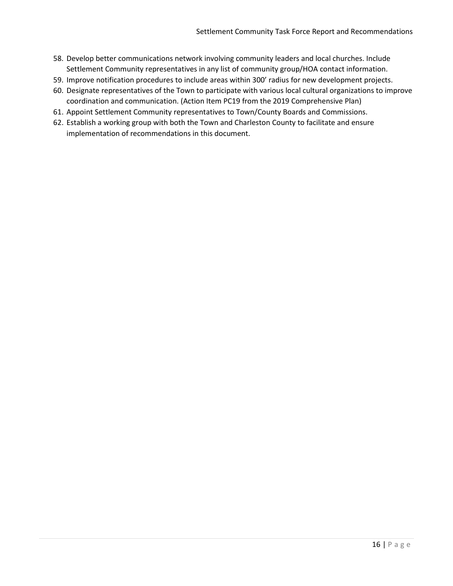- 58. Develop better communications network involving community leaders and local churches. Include Settlement Community representatives in any list of community group/HOA contact information.
- 59. Improve notification procedures to include areas within 300' radius for new development projects.
- 60. Designate representatives of the Town to participate with various local cultural organizations to improve coordination and communication. (Action Item PC19 from the 2019 Comprehensive Plan)
- 61. Appoint Settlement Community representatives to Town/County Boards and Commissions.
- 62. Establish a working group with both the Town and Charleston County to facilitate and ensure implementation of recommendations in this document.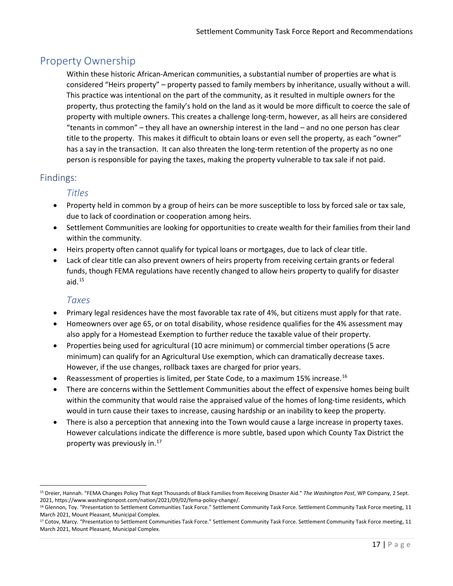## Property Ownership

Within these historic African-American communities, a substantial number of properties are what is considered "Heirs property" – property passed to family members by inheritance, usually without a will. This practice was intentional on the part of the community, as it resulted in multiple owners for the property, thus protecting the family's hold on the land as it would be more difficult to coerce the sale of property with multiple owners. This creates a challenge long-term, however, as all heirs are considered "tenants in common" – they all have an ownership interest in the land – and no one person has clear title to the property. This makes it difficult to obtain loans or even sell the property, as each "owner" has a say in the transaction. It can also threaten the long-term retention of the property as no one person is responsible for paying the taxes, making the property vulnerable to tax sale if not paid.

## Findings:

#### *Titles*

- Property held in common by a group of heirs can be more susceptible to loss by forced sale or tax sale, due to lack of coordination or cooperation among heirs.
- Settlement Communities are looking for opportunities to create wealth for their families from their land within the community.
- Heirs property often cannot qualify for typical loans or mortgages, due to lack of clear title.
- Lack of clear title can also prevent owners of heirs property from receiving certain grants or federal funds, though FEMA regulations have recently changed to allow heirs property to qualify for disaster aid. $^{15}$  $^{15}$  $^{15}$

### *Taxes*

- Primary legal residences have the most favorable tax rate of 4%, but citizens must apply for that rate.
- Homeowners over age 65, or on total disability, whose residence qualifies for the 4% assessment may also apply for a Homestead Exemption to further reduce the taxable value of their property.
- Properties being used for agricultural (10 acre minimum) or commercial timber operations (5 acre minimum) can qualify for an Agricultural Use exemption, which can dramatically decrease taxes. However, if the use changes, rollback taxes are charged for prior years.
- Reassessment of properties is limited, per State Code, to a maximum 15% increase.<sup>[16](#page-20-1)</sup>
- There are concerns within the Settlement Communities about the effect of expensive homes being built within the community that would raise the appraised value of the homes of long-time residents, which would in turn cause their taxes to increase, causing hardship or an inability to keep the property.
- There is also a perception that annexing into the Town would cause a large increase in property taxes. However calculations indicate the difference is more subtle, based upon which County Tax District the property was previously in. $17$

<span id="page-20-0"></span><sup>15</sup> Dreier, Hannah. "FEMA Changes Policy That Kept Thousands of Black Families from Receiving Disaster Aid." *The Washington Post*, WP Company, 2 Sept. 2021, https://www.washingtonpost.com/nation/2021/09/02/fema-policy-change/.<br><sup>16</sup> Glennon, Toy. "Presentation to Settlement Communities Task Force." Settlement Community Task Force. Settlement Community Task Force meeting,

<span id="page-20-1"></span>March 2021, Mount Pleasant, Municipal Complex.

<span id="page-20-2"></span><sup>&</sup>lt;sup>17</sup> Cotov, Marcy. "Presentation to Settlement Communities Task Force." Settlement Community Task Force. Settlement Community Task Force meeting, 11 March 2021, Mount Pleasant, Municipal Complex.